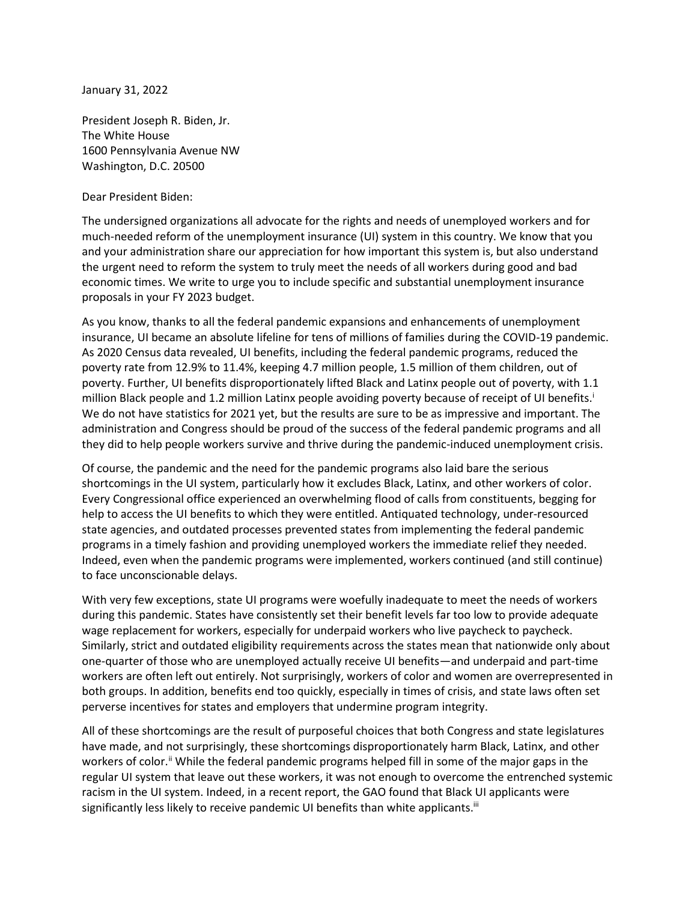January 31, 2022

President Joseph R. Biden, Jr. The White House 1600 Pennsylvania Avenue NW Washington, D.C. 20500

Dear President Biden:

The undersigned organizations all advocate for the rights and needs of unemployed workers and for much-needed reform of the unemployment insurance (UI) system in this country. We know that you and your administration share our appreciation for how important this system is, but also understand the urgent need to reform the system to truly meet the needs of all workers during good and bad economic times. We write to urge you to include specific and substantial unemployment insurance proposals in your FY 2023 budget.

As you know, thanks to all the federal pandemic expansions and enhancements of unemployment insurance, UI became an absolute lifeline for tens of millions of families during the COVID-19 pandemic. As 2020 Census data revealed, UI benefits, including the federal pandemic programs, reduced the poverty rate from 12.9% to 11.4%, keeping 4.7 million people, 1.5 million of them children, out of poverty. Further, UI benefits disproportionately lifted Black and Latinx people out of poverty, with 1.1 million Black people and 1.2 million Latinx people avoiding poverty because of receipt of UI benefits.<sup>i</sup> We do not have statistics for 2021 yet, but the results are sure to be as impressive and important. The administration and Congress should be proud of the success of the federal pandemic programs and all they did to help people workers survive and thrive during the pandemic-induced unemployment crisis.

Of course, the pandemic and the need for the pandemic programs also laid bare the serious shortcomings in the UI system, particularly how it excludes Black, Latinx, and other workers of color. Every Congressional office experienced an overwhelming flood of calls from constituents, begging for help to access the UI benefits to which they were entitled. Antiquated technology, under-resourced state agencies, and outdated processes prevented states from implementing the federal pandemic programs in a timely fashion and providing unemployed workers the immediate relief they needed. Indeed, even when the pandemic programs were implemented, workers continued (and still continue) to face unconscionable delays.

With very few exceptions, state UI programs were woefully inadequate to meet the needs of workers during this pandemic. States have consistently set their benefit levels far too low to provide adequate wage replacement for workers, especially for underpaid workers who live paycheck to paycheck. Similarly, strict and outdated eligibility requirements across the states mean that nationwide only about one-quarter of those who are unemployed actually receive UI benefits—and underpaid and part-time workers are often left out entirely. Not surprisingly, workers of color and women are overrepresented in both groups. In addition, benefits end too quickly, especially in times of crisis, and state laws often set perverse incentives for states and employers that undermine program integrity.

All of these shortcomings are the result of purposeful choices that both Congress and state legislatures have made, and not surprisingly, these shortcomings disproportionately harm Black, Latinx, and other workers of color.<sup>ii</sup> While the federal pandemic programs helped fill in some of the major gaps in the regular UI system that leave out these workers, it was not enough to overcome the entrenched systemic racism in the UI system. Indeed, in a recent report, the GAO found that Black UI applicants were significantly less likely to receive pandemic UI benefits than white applicants.<sup>iii</sup>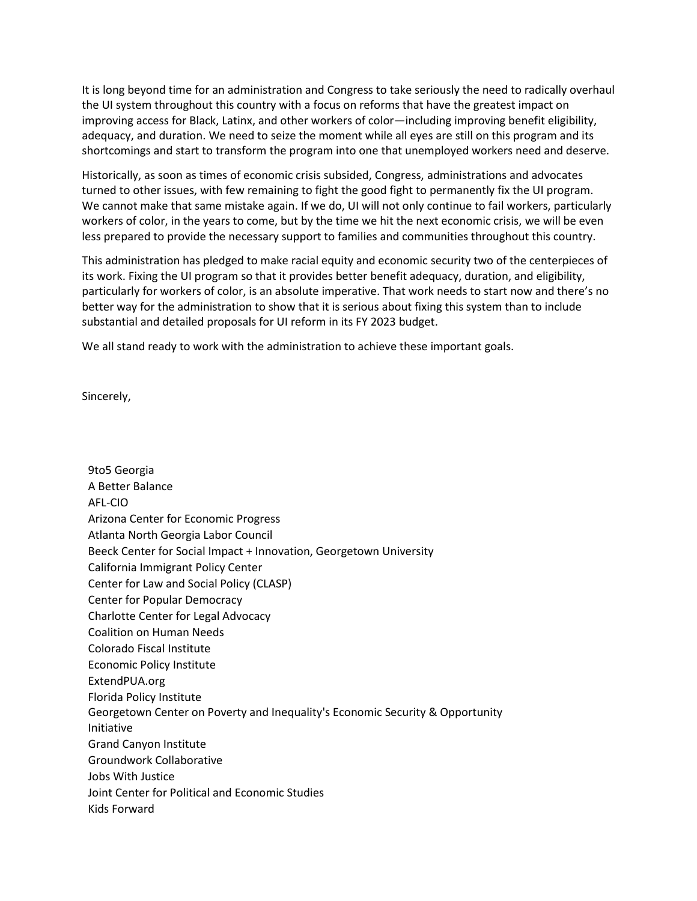It is long beyond time for an administration and Congress to take seriously the need to radically overhaul the UI system throughout this country with a focus on reforms that have the greatest impact on improving access for Black, Latinx, and other workers of color—including improving benefit eligibility, adequacy, and duration. We need to seize the moment while all eyes are still on this program and its shortcomings and start to transform the program into one that unemployed workers need and deserve.

Historically, as soon as times of economic crisis subsided, Congress, administrations and advocates turned to other issues, with few remaining to fight the good fight to permanently fix the UI program. We cannot make that same mistake again. If we do, UI will not only continue to fail workers, particularly workers of color, in the years to come, but by the time we hit the next economic crisis, we will be even less prepared to provide the necessary support to families and communities throughout this country.

This administration has pledged to make racial equity and economic security two of the centerpieces of its work. Fixing the UI program so that it provides better benefit adequacy, duration, and eligibility, particularly for workers of color, is an absolute imperative. That work needs to start now and there's no better way for the administration to show that it is serious about fixing this system than to include substantial and detailed proposals for UI reform in its FY 2023 budget.

We all stand ready to work with the administration to achieve these important goals.

Sincerely,

9to5 Georgia A Better Balance AFL-CIO Arizona Center for Economic Progress Atlanta North Georgia Labor Council Beeck Center for Social Impact + Innovation, Georgetown University California Immigrant Policy Center Center for Law and Social Policy (CLASP) Center for Popular Democracy Charlotte Center for Legal Advocacy Coalition on Human Needs Colorado Fiscal Institute Economic Policy Institute ExtendPUA.org Florida Policy Institute Georgetown Center on Poverty and Inequality's Economic Security & Opportunity Initiative Grand Canyon Institute Groundwork Collaborative Jobs With Justice Joint Center for Political and Economic Studies Kids Forward